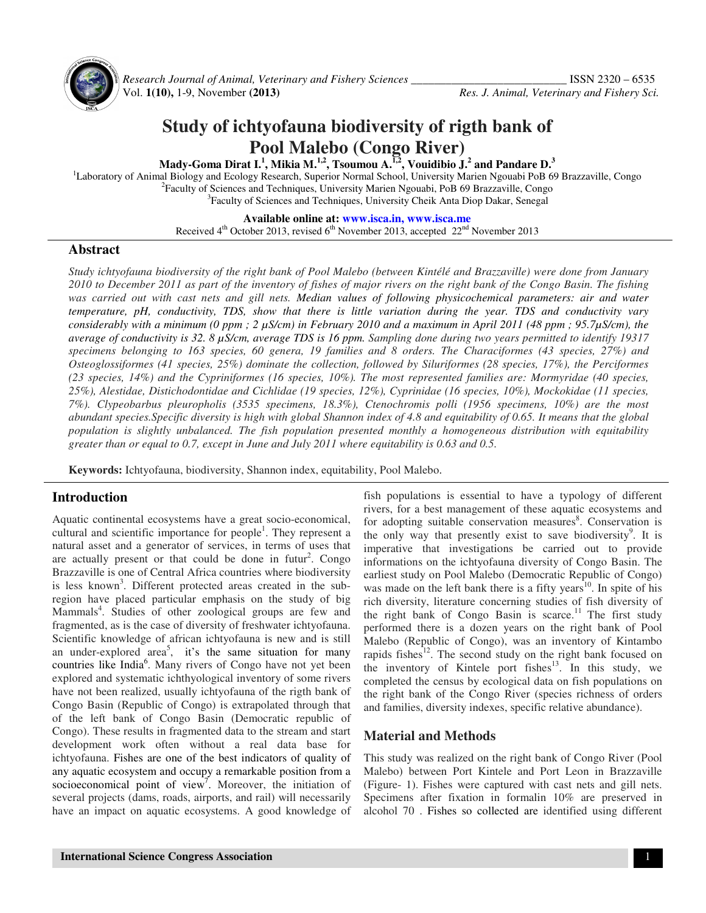

 *Research Journal of Animal, Veterinary and Fishery Sciences \_\_\_\_\_\_\_\_\_\_\_\_\_\_\_\_\_\_\_\_\_\_\_\_\_\_\_* ISSN 2320 – 6535 Vol. **1(10),** 1-9, November **(2013)** *Res. J. Animal, Veterinary and Fishery Sci.*

# **Study of ichtyofauna biodiversity of rigth bank of Pool Malebo (Congo River)**

**Mady-Goma Dirat I.<sup>1</sup> , Mikia M.1,2, Tsoumou A.1,2, Vouidibio J.<sup>2</sup> and Pandare D.<sup>3</sup>**

<sup>1</sup>Laboratory of Animal Biology and Ecology Research, Superior Normal School, University Marien Ngouabi PoB 69 Brazzaville, Congo <sup>2</sup>Faculty of Sciences and Techniques, University Marien Ngouabi, PoB 69 Brazzaville, Congo <sup>3</sup>Faculty of Sciences and Techniques, University Cheik Anta Diop Dakar, Senegal

**Available online at: www.isca.in, www.isca.me**

Received  $4<sup>th</sup>$  October 2013, revised  $6<sup>th</sup>$  November 2013, accepted  $22<sup>nd</sup>$  November 2013

### **Abstract**

*Study ichtyofauna biodiversity of the right bank of Pool Malebo (between Kintélé and Brazzaville) were done from January 2010 to December 2011 as part of the inventory of fishes of major rivers on the right bank of the Congo Basin. The fishing*  was carried out with cast nets and gill nets. Median values of following physicochemical parameters: air and water *temperature, pH, conductivity, TDS, show that there is little variation during the year. TDS and conductivity vary considerably with a minimum (0 ppm ; 2 µS/cm) in February 2010 and a maximum in April 2011 (48 ppm ; 95.7µS/cm), the average of conductivity is 32. 8 µS/cm, average TDS is 16 ppm. Sampling done during two years permitted to identify 19317 specimens belonging to 163 species, 60 genera, 19 families and 8 orders. The Characiformes (43 species, 27%) and Osteoglossiformes (41 species, 25%) dominate the collection, followed by Siluriformes (28 species, 17%), the Perciformes (23 species, 14%) and the Cypriniformes (16 species, 10%). The most represented families are: Mormyridae (40 species, 25%), Alestidae, Distichodontidae and Cichlidae (19 species, 12%), Cyprinidae (16 species, 10%), Mockokidae (11 species, 7%). Clypeobarbus pleuropholis (3535 specimens, 18.3%), Ctenochromis polli (1956 specimens, 10%) are the most abundant species.Specific diversity is high with global Shannon index of 4.8 and equitability of 0.65. It means that the global population is slightly unbalanced. The fish population presented monthly a homogeneous distribution with equitability greater than or equal to 0.7, except in June and July 2011 where equitability is 0.63 and 0.5.* 

**Keywords:** Ichtyofauna, biodiversity, Shannon index, equitability, Pool Malebo.

### **Introduction**

Aquatic continental ecosystems have a great socio-economical, cultural and scientific importance for people<sup>1</sup>. They represent a natural asset and a generator of services, in terms of uses that are actually present or that could be done in futur<sup>2</sup>. Congo Brazzaville is one of Central Africa countries where biodiversity is less known<sup>3</sup>. Different protected areas created in the subregion have placed particular emphasis on the study of big Mammals<sup>4</sup>. Studies of other zoological groups are few and fragmented, as is the case of diversity of freshwater ichtyofauna. Scientific knowledge of african ichtyofauna is new and is still an under-explored area<sup>5</sup>, it's the same situation for many countries like India<sup>6</sup>. Many rivers of Congo have not yet been explored and systematic ichthyological inventory of some rivers have not been realized, usually ichtyofauna of the rigth bank of Congo Basin (Republic of Congo) is extrapolated through that of the left bank of Congo Basin (Democratic republic of Congo). These results in fragmented data to the stream and start development work often without a real data base for ichtyofauna. Fishes are one of the best indicators of quality of any aquatic ecosystem and occupy a remarkable position from a socioeconomical point of view<sup>7</sup>. Moreover, the initiation of several projects (dams, roads, airports, and rail) will necessarily have an impact on aquatic ecosystems. A good knowledge of

fish populations is essential to have a typology of different rivers, for a best management of these aquatic ecosystems and for adopting suitable conservation measures<sup>8</sup>. Conservation is the only way that presently exist to save biodiversity<sup>9</sup>. It is imperative that investigations be carried out to provide informations on the ichtyofauna diversity of Congo Basin. The earliest study on Pool Malebo (Democratic Republic of Congo) was made on the left bank there is a fifty years<sup>10</sup>. In spite of his rich diversity, literature concerning studies of fish diversity of the right bank of Congo Basin is scarce.<sup>11</sup> The first study performed there is a dozen years on the right bank of Pool Malebo (Republic of Congo), was an inventory of Kintambo rapids fishes $^{12}$ . The second study on the right bank focused on the inventory of Kintele port fishes<sup>13</sup>. In this study, we completed the census by ecological data on fish populations on the right bank of the Congo River (species richness of orders and families, diversity indexes, specific relative abundance).

### **Material and Methods**

This study was realized on the right bank of Congo River (Pool Malebo) between Port Kintele and Port Leon in Brazzaville (Figure- 1). Fishes were captured with cast nets and gill nets. Specimens after fixation in formalin 10% are preserved in alcohol 70 . Fishes so collected are identified using different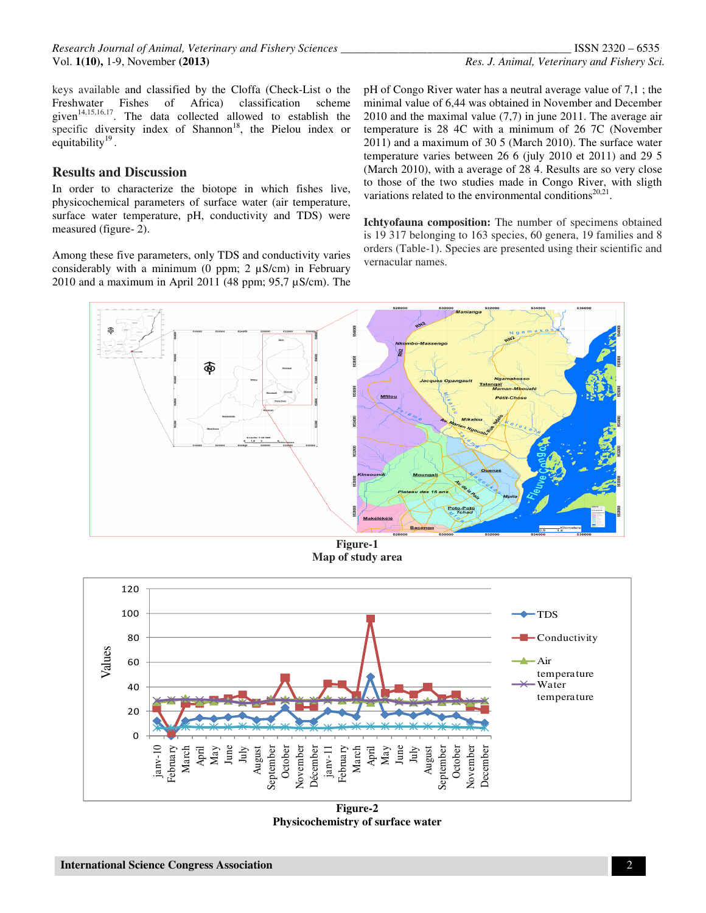*Research Journal of Animal, Veterinary and Fishery Sciences \_\_\_\_\_\_\_\_\_\_\_\_\_\_\_\_\_\_\_\_\_\_\_\_\_\_\_\_\_\_\_\_\_\_\_\_\_\_\_\_* ISSN 2320 – 6535 Vol. **1(10),** 1-9, November **(2013)** *Res. J. Animal, Veterinary and Fishery Sci.*

keys available and classified by the Cloffa (Check-List o the Freshwater Fishes of Africa) classification scheme given $14,15,16,17$ . The data collected allowed to establish the specific diversity index of Shannon<sup>18</sup>, the Pielou index or equitability<sup>19</sup>.

#### **Results and Discussion**

In order to characterize the biotope in which fishes live, physicochemical parameters of surface water (air temperature, surface water temperature, pH, conductivity and TDS) were measured (figure- 2).

Among these five parameters, only TDS and conductivity varies considerably with a minimum (0 ppm;  $2 \mu S/cm$ ) in February 2010 and a maximum in April 2011 (48 ppm;  $95.7 \mu$ S/cm). The pH of Congo River water has a neutral average value of 7,1 ; the minimal value of 6,44 was obtained in November and December 2010 and the maximal value (7,7) in june 2011. The average air temperature is 28 4C with a minimum of 26 7C (November 2011) and a maximum of 30 5 (March 2010). The surface water temperature varies between 26 6 (july 2010 et 2011) and 29 5 (March 2010), with a average of 28 4. Results are so very close to those of the two studies made in Congo River, with sligth variations related to the environmental conditions<sup>20,21</sup>.

**Ichtyofauna composition:** The number of specimens obtained is 19 317 belonging to 163 species, 60 genera, 19 families and 8 orders (Table-1). Species are presented using their scientific and vernacular names.



**Figure-1 Map of study area** 



**Figure-2 Physicochemistry of surface water**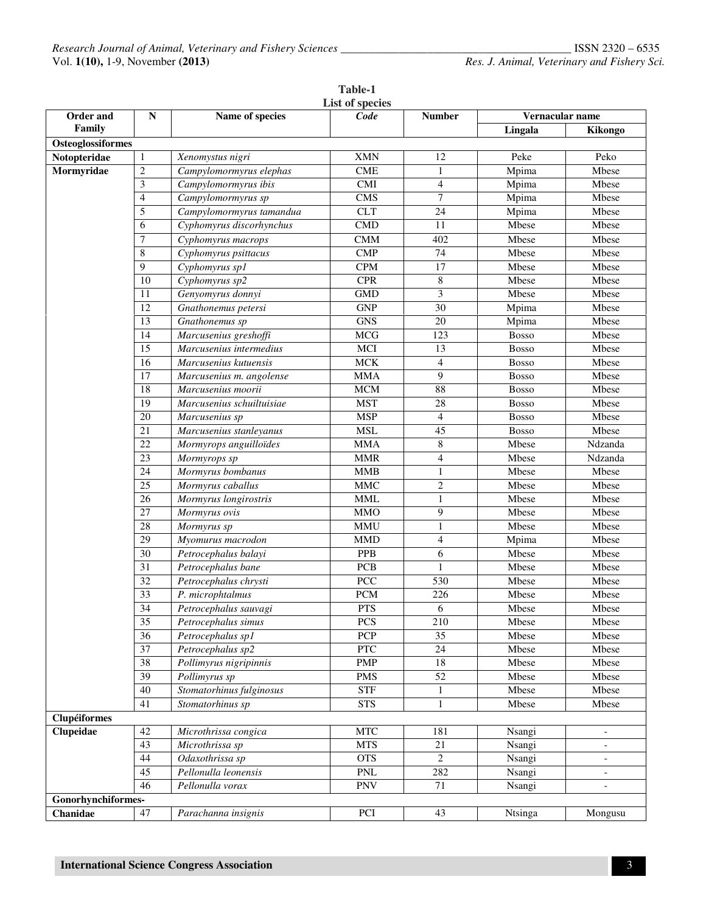|                     |                         |                           | List of species             |                         |                 |                          |
|---------------------|-------------------------|---------------------------|-----------------------------|-------------------------|-----------------|--------------------------|
| Order and<br>Family | ${\bf N}$               | Name of species           | Code                        | <b>Number</b>           | Vernacular name |                          |
|                     |                         |                           |                             |                         | Lingala         | Kikongo                  |
| Osteoglossiformes   |                         |                           |                             |                         |                 |                          |
| Notopteridae        | $\mathbf{1}$            | Xenomystus nigri          | <b>XMN</b>                  | 12                      | Peke            | Peko                     |
| Mormyridae          | $\overline{c}$          | Campylomormyrus elephas   | <b>CME</b>                  | $\mathbf{1}$            | Mpima           | Mbese                    |
|                     | 3                       | Campylomormyrus ibis      | <b>CMI</b>                  | $\overline{4}$          | Mpima           | Mbese                    |
|                     | $\overline{\mathbf{4}}$ | Campylomormyrus sp        | CMS                         | $\tau$                  | Mpima           | Mbese                    |
|                     | 5                       | Campylomormyrus tamandua  | <b>CLT</b>                  | 24                      | Mpima           | Mbese                    |
|                     | 6                       | Cyphomyrus discorhynchus  | CMD                         | $\overline{11}$         | Mbese           | Mbese                    |
|                     | 7                       | Cyphomyrus macrops        | <b>CMM</b>                  | 402                     | <b>Mbese</b>    | Mbese                    |
|                     | $\,$ 8 $\,$             | Cyphomyrus psittacus      | $\text{CMP}$                | 74                      | Mbese           | Mbese                    |
|                     | $\overline{9}$          | Cyphomyrus sp1            | <b>CPM</b>                  | 17                      | Mbese           | Mbese                    |
|                     | 10                      | Cyphomyrus sp2            | <b>CPR</b>                  | $\,$ 8 $\,$             | Mbese           | Mbese                    |
|                     | 11                      | Genyomyrus donnyi         | $\operatorname{GMD}$        | $\overline{\mathbf{3}}$ | Mbese           | Mbese                    |
|                     | 12                      | Gnathonemus petersi       | <b>GNP</b>                  | 30                      | Mpima           | Mbese                    |
|                     | 13                      | Gnathonemus sp            | <b>GNS</b>                  | 20                      | Mpima           | Mbese                    |
|                     | 14                      | Marcusenius greshoffi     | <b>MCG</b>                  | $\overline{123}$        | <b>Bosso</b>    | Mbese                    |
|                     | 15                      | Marcusenius intermedius   | MCI                         | 13                      | Bosso           | Mbese                    |
|                     | 16                      | Marcusenius kutuensis     | <b>MCK</b>                  | $\overline{4}$          | <b>Bosso</b>    | Mbese                    |
|                     | 17                      | Marcusenius m. angolense  | <b>MMA</b>                  | 9                       | <b>Bosso</b>    | Mbese                    |
|                     | 18                      | Marcusenius moorii        | <b>MCM</b>                  | 88                      | <b>Bosso</b>    | Mbese                    |
|                     | 19                      | Marcusenius schuiltuisiae | <b>MST</b>                  | 28                      | <b>Bosso</b>    | Mbese                    |
|                     | 20                      | Marcusenius sp            | <b>MSP</b>                  | $\overline{4}$          | <b>Bosso</b>    | Mbese                    |
|                     | 21                      | Marcusenius stanleyanus   | <b>MSL</b>                  | 45                      | <b>Bosso</b>    | Mbese                    |
|                     | 22                      | Mormyrops anguilloïdes    | <b>MMA</b>                  | $\,8\,$                 | Mbese           | Ndzanda                  |
|                     | 23                      | Mormyrops sp              | <b>MMR</b>                  | $\overline{4}$          | Mbese           | Ndzanda                  |
|                     | 24                      | Mormyrus bombanus         | <b>MMB</b>                  | $\mathbf{1}$            | Mbese           | Mbese                    |
|                     | 25                      | Mormyrus caballus         | <b>MMC</b>                  | $\overline{2}$          | Mbese           | Mbese                    |
|                     | 26                      | Mormyrus longirostris     | <b>MML</b>                  | $\mathbf{1}$            | Mbese           | Mbese                    |
|                     | 27                      | Mormyrus ovis             | <b>MMO</b>                  | 9                       | Mbese           | Mbese                    |
|                     | 28                      | Mormyrus sp               | <b>MMU</b>                  | $\mathbf{1}$            | Mbese           | Mbese                    |
|                     | $\overline{29}$         | Myomurus macrodon         | <b>MMD</b>                  | $\overline{4}$          | Mpima           | Mbese                    |
|                     | 30                      | Petrocephalus balayi      | PPB                         | 6                       | Mbese           | Mbese                    |
|                     | $\overline{31}$         | Petrocephalus bane        | PCB                         | $\mathbf{1}$            | Mbese           | Mbese                    |
|                     | 32                      | Petrocephalus chrysti     | $\overline{PCC}$            | 530                     | Mbese           | Mbese                    |
|                     | 33                      | P. microphtalmus          | <b>PCM</b>                  | 226                     | Mbese           | Mbese                    |
|                     | $\overline{34}$         | Petrocephalus sauvagi     | <b>PTS</b>                  | 6                       | Mbese           | Mbese                    |
|                     | 35                      | Petrocephalus simus       | PCS                         | 210                     | Mbese           | Mbese                    |
|                     | $\overline{36}$         | Petrocephalus sp1         | <b>PCP</b>                  | $\overline{35}$         | Mbese           | Mbese                    |
|                     | 37                      | Petrocephalus sp2         | PTC                         | 24                      | Mbese           | Mbese                    |
|                     | $\overline{38}$         | Pollimyrus nigripinnis    | <b>PMP</b>                  | 18                      | Mbese           | Mbese                    |
|                     | 39                      | Pollimyrus sp             | <b>PMS</b>                  | $\overline{52}$         | Mbese           | Mbese                    |
|                     | 40                      | Stomatorhinus fulginosus  | <b>STF</b>                  | 1                       | Mbese           | Mbese                    |
|                     | 41                      | Stomatorhinus sp          | <b>STS</b>                  | $\mathbf{1}$            | Mbese           | Mbese                    |
| <b>Clupéiformes</b> |                         |                           |                             |                         |                 |                          |
| Clupeidae           | 42                      | Microthrissa congica      | <b>MTC</b>                  | 181                     | Nsangi          | $\overline{\phantom{a}}$ |
|                     | 43                      | Microthrissa sp           | <b>MTS</b>                  | $21\,$                  | Nsangi          |                          |
|                     | $44\,$                  | Odaxothrissa sp           | <b>OTS</b>                  | $\overline{2}$          | Nsangi          | $\overline{\phantom{a}}$ |
|                     | 45                      | Pellonulla leonensis      | $\ensuremath{\mathsf{PNL}}$ | 282                     | Nsangi          | $\overline{\phantom{a}}$ |
|                     | 46                      | Pellonulla vorax          | <b>PNV</b>                  | 71                      | Nsangi          | $\overline{\phantom{a}}$ |
| Gonorhynchiformes-  |                         |                           |                             |                         |                 |                          |
| Chanidae            | $47\,$                  | Parachanna insignis       | PCI                         | 43                      | Ntsinga         | Mongusu                  |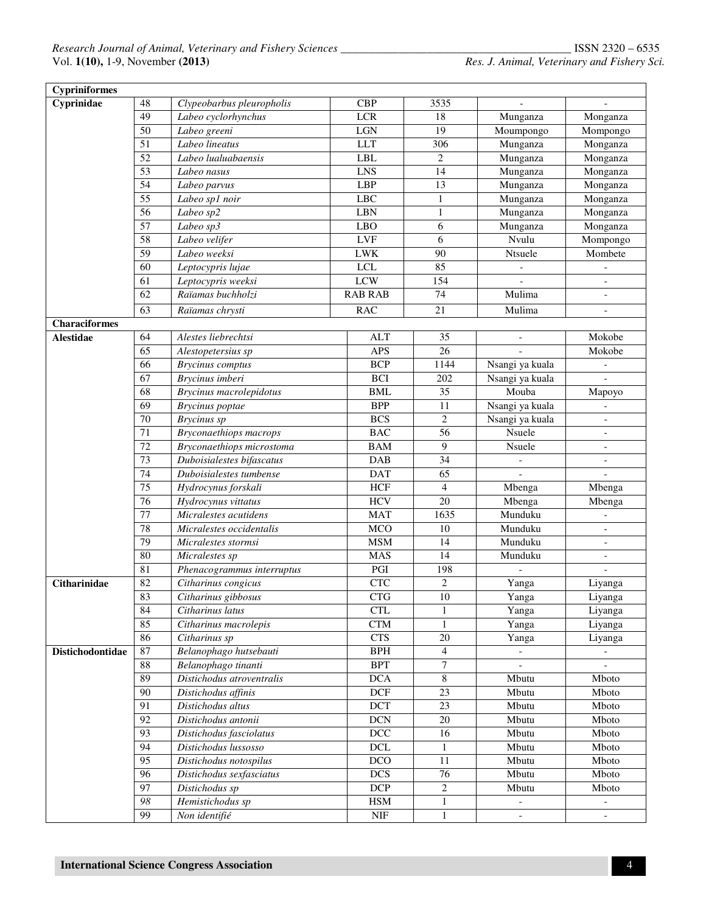| <b>Cypriniformes</b> |                 |                               |                           |                  |                          |                          |
|----------------------|-----------------|-------------------------------|---------------------------|------------------|--------------------------|--------------------------|
| Cyprinidae           | 48              | Clypeobarbus pleuropholis     | <b>CBP</b>                | 3535             |                          |                          |
|                      | 49              | Labeo cyclorhynchus           | <b>LCR</b>                | 18               | Munganza                 | Monganza                 |
|                      | 50              | Labeo greeni                  | $_{\rm LGN}$              | 19               | Moumpongo                | Mompongo                 |
|                      | $\overline{51}$ | Labeo lineatus                | <b>LLT</b>                | 306              | Munganza                 | Monganza                 |
|                      | $\overline{52}$ | Labeo lualuabaensis           | <b>LBL</b>                | $\mathbf{2}$     | Munganza                 | Monganza                 |
|                      | 53              | Labeo nasus                   | <b>LNS</b>                | 14               | Munganza                 | Monganza                 |
|                      | 54              | Labeo parvus                  | <b>LBP</b>                | $\overline{13}$  | Munganza                 | Monganza                 |
|                      | 55              | Labeo spl noir                | <b>LBC</b>                | 1                | Munganza                 | Monganza                 |
|                      | 56              | Labeo sp2                     | <b>LBN</b>                | $\mathbf{1}$     | Munganza                 | Monganza                 |
|                      | $\overline{57}$ | Labeo sp3                     | <b>LBO</b>                | 6                | Munganza                 | Monganza                 |
|                      | 58              | Labeo velifer                 | ${\rm LVF}$               | 6                | Nvulu                    | Mompongo                 |
|                      | 59              | Labeo weeksi                  | <b>LWK</b>                | $\overline{90}$  | Ntsuele                  | Mombete                  |
|                      | 60              | Leptocypris lujae             | <b>LCL</b>                | 85               | $\overline{\phantom{0}}$ |                          |
|                      | 61              | Leptocypris weeksi            | <b>LCW</b>                | 154              |                          |                          |
|                      | 62              | Raïamas buchholzi             | <b>RAB RAB</b>            | 74               | Mulima                   | $\blacksquare$           |
|                      | $\overline{63}$ | Raïamas chrysti               | <b>RAC</b>                | $\overline{21}$  | Mulima                   | $\overline{\phantom{a}}$ |
| <b>Characiformes</b> |                 |                               |                           |                  |                          |                          |
| <b>Alestidae</b>     | 64              | Alestes liebrechtsi           | <b>ALT</b>                | 35               | $\overline{\phantom{a}}$ | Mokobe                   |
|                      | 65              | Alestopetersius sp            | <b>APS</b>                | 26               |                          | Mokobe                   |
|                      | 66              | <b>Brycinus</b> comptus       | <b>BCP</b>                | 1144             | Nsangi ya kuala          |                          |
|                      | 67              | Brycinus imberi               | <b>BCI</b>                | 202              | Nsangi ya kuala          |                          |
|                      | 68              | Brycinus macrolepidotus       | <b>BML</b>                | 35               | Mouba                    | Мароуо                   |
|                      | 69              | Brycinus poptae               | <b>BPP</b>                | 11               | Nsangi ya kuala          |                          |
|                      | 70              | Brycinus sp                   | <b>BCS</b>                | $\overline{c}$   | Nsangi ya kuala          |                          |
|                      | 71              | <b>Bryconaethiops</b> macrops | <b>BAC</b>                | $\overline{56}$  | Nsuele                   |                          |
|                      | 72              | Bryconaethiops microstoma     | <b>BAM</b>                | 9                | Nsuele                   |                          |
|                      | $\overline{73}$ | Duboisialestes bifascatus     | <b>DAB</b>                | 34               | $\blacksquare$           |                          |
|                      | $\overline{74}$ | Duboisialestes tumbense       | <b>DAT</b>                | $\overline{65}$  |                          | $\overline{a}$           |
|                      | $\overline{75}$ | Hydrocynus forskali           | <b>HCF</b>                | $\overline{4}$   | Mbenga                   | Mbenga                   |
|                      | $\overline{76}$ | Hydrocynus vittatus           | <b>HCV</b>                | $\overline{20}$  | Mbenga                   | Mbenga                   |
|                      | $\overline{77}$ | Micralestes acutidens         | <b>MAT</b>                | 1635             | Munduku                  |                          |
|                      | 78              | Micralestes occidentalis      | <b>MCO</b>                | 10               | Munduku                  |                          |
|                      | 79              | Micralestes stormsi           | <b>MSM</b>                | 14               | Munduku                  |                          |
|                      | 80              | Micralestes sp                | <b>MAS</b>                | 14               | Munduku                  |                          |
|                      | $\overline{81}$ | Phenacogrammus interruptus    | PGI                       | 198              | $\overline{a}$           |                          |
| Citharinidae         | 82              | Citharinus congicus           | <b>CTC</b>                | $\overline{c}$   | Yanga                    | Liyanga                  |
|                      | 83              | Citharinus gibbosus           | <b>CTG</b>                | $\overline{10}$  | Yanga                    | Liyanga                  |
|                      | 84              | Citharinus latus              | <b>CTL</b>                | 1                | Yanga                    | Liyanga                  |
|                      | 85              | Citharinus macrolepis         | <b>CTM</b>                | $\mathbf{1}$     | Yanga                    | Liyanga                  |
|                      | 86              | Citharinus sp                 | <b>CTS</b>                | 20               | Yanga                    | Liyanga                  |
| Distichodontidae     | 87              | Belanophago hutsebauti        | BPH                       | $\overline{4}$   |                          |                          |
|                      | 88              | Belanophago tinanti           | <b>BPT</b>                | $\boldsymbol{7}$ |                          |                          |
|                      | 89              | Distichodus atroventralis     | <b>DCA</b>                | 8                | Mbutu                    | Mboto                    |
|                      | 90              | Distichodus affinis           | <b>DCF</b>                | 23               | Mbutu                    | Mboto                    |
|                      | 91              | Distichodus altus             | <b>DCT</b>                | $\overline{23}$  | Mbutu                    | Mboto                    |
|                      | $\overline{92}$ | Distichodus antonii           | <b>DCN</b>                | $\overline{20}$  | Mbutu                    | Mboto                    |
|                      | 93              | Distichodus fasciolatus       | $DCC$                     | 16               | Mbutu                    | Mboto                    |
|                      | 94              | Distichodus lussosso          | <b>DCL</b>                | $\mathbf{1}$     | Mbutu                    | Mboto                    |
|                      | 95              | Distichodus notospilus        | DCO                       | 11               | Mbutu                    | Mboto                    |
|                      | 96              | Distichodus sexfasciatus      | <b>DCS</b>                | $\overline{76}$  | Mbutu                    | Mboto                    |
|                      | $\overline{97}$ | Distichodus sp                | <b>DCP</b>                | $\boldsymbol{2}$ | Mbutu                    | Mboto                    |
|                      | 98              | Hemistichodus sp              | <b>HSM</b>                | $\mathbf{1}$     | $\overline{\phantom{a}}$ |                          |
|                      | 99              | Non identifié                 | $\ensuremath{\text{NIF}}$ | $\mathbf{1}$     | $\blacksquare$           |                          |
|                      |                 |                               |                           |                  |                          |                          |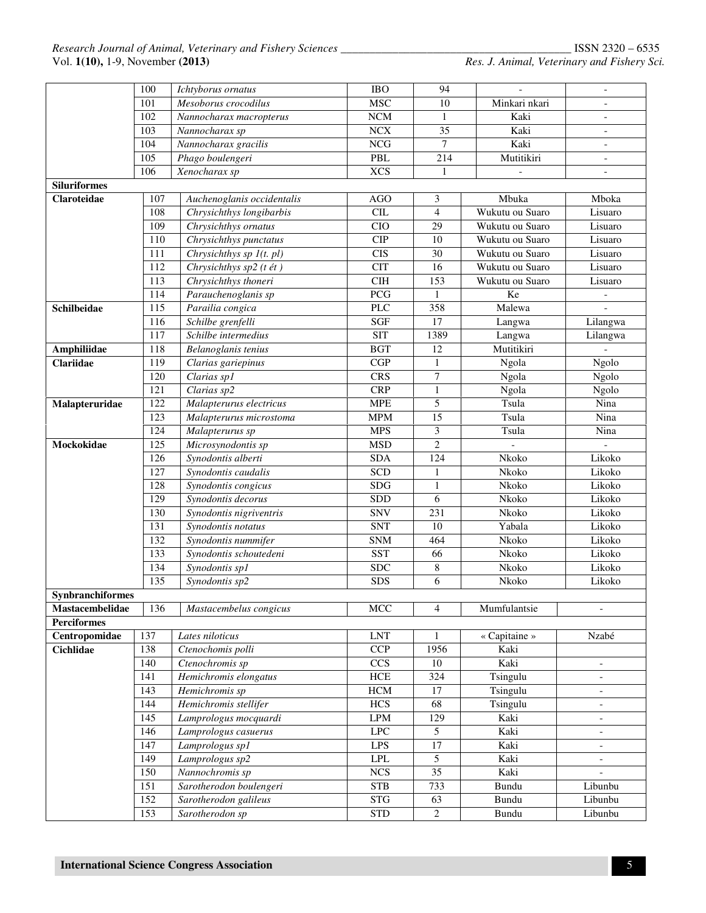|                     | 100              | Ichtyborus ornatus         | IBO                     | 94               | $\mathcal{L}$            | $\overline{\phantom{a}}$ |  |
|---------------------|------------------|----------------------------|-------------------------|------------------|--------------------------|--------------------------|--|
|                     | 101              | Mesoborus crocodilus       | <b>MSC</b>              | 10               | Minkari nkari            |                          |  |
|                     | 102              | Nannocharax macropterus    | $\rm NCM$               | $\mathbf{1}$     | Kaki                     | $\blacksquare$           |  |
|                     | 103              | Nannocharax sp             | ${\rm N}{\rm C}{\rm X}$ | 35               | Kaki                     | $\overline{a}$           |  |
|                     | 104              | Nannocharax gracilis       | NCG                     | 7                | Kaki                     |                          |  |
|                     | 105              | Phago boulengeri           | PBL                     | $\overline{214}$ | Mutitikiri               | $\blacksquare$           |  |
|                     | 106              | Xenocharax sp              | <b>XCS</b>              | $\mathbf{1}$     | $\overline{\phantom{a}}$ | $\overline{\phantom{a}}$ |  |
| <b>Siluriformes</b> |                  |                            |                         |                  |                          |                          |  |
| Claroteidae         | 107              | Auchenoglanis occidentalis | <b>AGO</b>              | 3                | Mbuka                    | Mboka                    |  |
|                     | 108              | Chrysichthys longibarbis   | CL                      | $\overline{4}$   | Wukutu ou Suaro          | Lisuaro                  |  |
|                     | 109              | Chrysichthys ornatus       | <b>CIO</b>              | 29               | Wukutu ou Suaro          | Lisuaro                  |  |
|                     | 110              | Chrysichthys punctatus     | CIP                     | 10               | Wukutu ou Suaro          | Lisuaro                  |  |
|                     | 111              | Chrysichthys sp 1(t. pl)   | $\overline{CIS}$        | 30               | Wukutu ou Suaro          | Lisuaro                  |  |
|                     | 112              | Chrysichthys sp2 (t ét)    | <b>CIT</b>              | 16               | Wukutu ou Suaro          | Lisuaro                  |  |
|                     | 113              | Chrysichthys thoneri       | CIH                     | 153              | Wukutu ou Suaro          | Lisuaro                  |  |
|                     | 114              | Parauchenoglanis sp        | $\overline{PCG}$        | 1                | Ke                       | $\overline{\phantom{a}}$ |  |
| Schilbeidae         | 115              | Parailia congica           | <b>PLC</b>              | 358              | Malewa                   |                          |  |
|                     | 116              | Schilbe grenfelli          | SGF                     | 17               | Langwa                   | Lilangwa                 |  |
|                     | 117              | Schilbe intermedius        | <b>SIT</b>              | 1389             | Langwa                   | Lilangwa                 |  |
| <b>Amphiliidae</b>  | 118              | Belanoglanis tenius        | $\overline{BG}T$        | 12               | Mutitikiri               | $\overline{a}$           |  |
| Clariidae           | 119              | Clarias gariepinus         | CGP                     | $\mathbf{1}$     | Ngola                    | Ngolo                    |  |
|                     | 120              | Clarias sp1                | <b>CRS</b>              | 7                | Ngola                    | Ngolo                    |  |
|                     | 121              | Clarias sp2                | CRP                     | $\mathbf{1}$     | Ngola                    | Ngolo                    |  |
| Malapteruridae      | 122              | Malapterurus electricus    | <b>MPE</b>              | 5                | Tsula                    | Nina                     |  |
|                     | 123              | Malapterurus microstoma    | <b>MPM</b>              | $\overline{15}$  | Tsula                    | Nina                     |  |
|                     | 124              | Malapterurus sp            | <b>MPS</b>              | 3                | Tsula                    | Nina                     |  |
| Mockokidae          | $\overline{125}$ | Microsynodontis sp         | <b>MSD</b>              | $\overline{2}$   | $\overline{a}$           |                          |  |
|                     | 126              | Synodontis alberti         | <b>SDA</b>              | 124              | Nkoko                    | Likoko                   |  |
|                     | 127              | Synodontis caudalis        | SCD                     | $\mathbf{1}$     | Nkoko                    | Likoko                   |  |
|                     | 128              | Synodontis congicus        | <b>SDG</b>              | $\mathbf{1}$     | Nkoko                    | Likoko                   |  |
|                     | 129              | Synodontis decorus         | <b>SDD</b>              | 6                | Nkoko                    | Likoko                   |  |
|                     | 130              | Synodontis nigriventris    | <b>SNV</b>              | 231              | Nkoko                    | Likoko                   |  |
|                     | 131              | Synodontis notatus         | <b>SNT</b>              | 10               | Yabala                   | Likoko                   |  |
|                     | 132              | Synodontis nummifer        | <b>SNM</b>              | 464              | Nkoko                    | Likoko                   |  |
|                     | 133              | Synodontis schoutedeni     | SST                     | 66               | Nkoko                    | Likoko                   |  |
|                     | 134              | Synodontis sp1             | SDC                     | $\,8\,$          | Nkoko                    | Likoko                   |  |
|                     | 135              | Synodontis sp2             | <b>SDS</b>              | 6                | Nkoko                    | Likoko                   |  |
| Synbranchiformes    |                  |                            |                         |                  |                          |                          |  |
| Mastacembelidae     | 136              | Mastacembelus congicus     | $\operatorname{MCC}$    | $\overline{4}$   | Mumfulantsie             | $\overline{\phantom{a}}$ |  |
| <b>Perciformes</b>  |                  |                            |                         |                  |                          |                          |  |
| Centropomidae       | 137              | Lates niloticus            | <b>LNT</b>              | 1                | « Capitaine »            | Nzabé                    |  |
| <b>Cichlidae</b>    | 138              | Ctenochomis polli          | <b>CCP</b>              | 1956             | Kaki                     |                          |  |
|                     | 140              | Ctenochromis sp            | CCS                     | $10\,$           | Kaki                     | $\overline{\phantom{a}}$ |  |
|                     | 141              | Hemichromis elongatus      | HCE                     | 324              | Tsingulu                 | $\overline{\phantom{a}}$ |  |
|                     | 143              | Hemichromis sp             | $\rm HCM$               | 17               | Tsingulu                 | $\overline{\phantom{a}}$ |  |
|                     | 144              | Hemichromis stellifer      | <b>HCS</b>              | 68               | Tsingulu                 | $\overline{\phantom{a}}$ |  |
|                     | 145              | Lamprologus mocquardi      | <b>LPM</b>              | 129              | Kaki                     | $\overline{\phantom{a}}$ |  |
|                     | 146              | Lamprologus casuerus       | <b>LPC</b>              | 5                | Kaki                     | $\overline{\phantom{a}}$ |  |
|                     | 147              | Lamprologus sp1            | <b>LPS</b>              | $17\,$           | Kaki                     | $\overline{\phantom{a}}$ |  |
|                     | 149              | Lamprologus sp2            | LPL                     | $\mathfrak{H}$   | Kaki                     | $\overline{\phantom{a}}$ |  |
|                     | 150              | Nannochromis sp            | NCS                     | 35               | Kaki                     |                          |  |
|                     | 151              | Sarotherodon boulengeri    | <b>STB</b>              | 733              | Bundu                    | Libunbu                  |  |
|                     | 152              | Sarotherodon galileus      | <b>STG</b>              | 63               | Bundu                    | Libunbu                  |  |
|                     | 153              | Sarotherodon sp            | <b>STD</b>              | $\sqrt{2}$       | Bundu                    | Libunbu                  |  |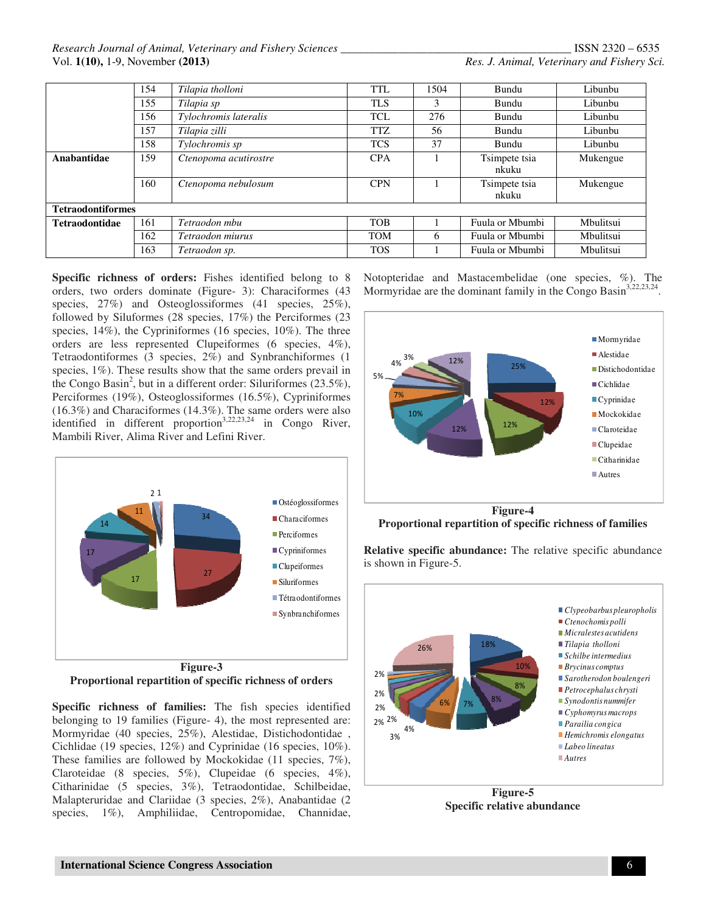*Research Journal of Animal, Veterinary and Fishery Sciences \_\_\_\_\_\_\_\_\_\_\_\_\_\_\_\_\_\_\_\_\_\_\_\_\_\_\_\_\_\_\_\_\_\_\_\_\_\_\_\_* ISSN 2320 – 6535 Vol. **1(10),** 1-9, November **(2013)** *Res. J. Animal, Veterinary and Fishery Sci.*

| 154                          | Tilapia tholloni      | TTL        | 1504 | Bundu           | Libunbu   |  |  |
|------------------------------|-----------------------|------------|------|-----------------|-----------|--|--|
| 155                          | Tilapia sp            | <b>TLS</b> | 3    | Bundu           | Libunbu   |  |  |
| 156                          | Tylochromis lateralis | <b>TCL</b> | 276  | Bundu           | Libunbu   |  |  |
| 157                          | Tilapia zilli         | <b>TTZ</b> | 56   | Bundu           | Libunbu   |  |  |
| 158                          | Tylochromis sp        | <b>TCS</b> | 37   | Bundu           | Libunbu   |  |  |
| 159<br>Anabantidae           | Ctenopoma acutirostre | <b>CPA</b> |      | Tsimpete tsia   | Mukengue  |  |  |
|                              |                       |            |      | nkuku           |           |  |  |
| 160                          | Ctenopoma nebulosum   | <b>CPN</b> |      | Tsimpete tsia   | Mukengue  |  |  |
|                              |                       |            |      | nkuku           |           |  |  |
| <b>Tetraodontiformes</b>     |                       |            |      |                 |           |  |  |
| 161<br><b>Tetraodontidae</b> | Tetraodon mbu         | <b>TOB</b> |      | Fuula or Mbumbi | Mbulitsui |  |  |
| 162                          | Tetraodon miurus      | <b>TOM</b> | 6    | Fuula or Mbumbi | Mbulitsui |  |  |
| 163                          | Tetraodon sp.         | <b>TOS</b> |      | Fuula or Mbumbi | Mbulitsui |  |  |

**Specific richness of orders:** Fishes identified belong to 8 orders, two orders dominate (Figure- 3): Characiformes (43 species, 27%) and Osteoglossiformes (41 species, 25%), followed by Siluformes (28 species, 17%) the Perciformes (23 species, 14%), the Cypriniformes (16 species, 10%). The three orders are less represented Clupeiformes (6 species, 4%), Tetraodontiformes (3 species, 2%) and Synbranchiformes (1 species, 1%). These results show that the same orders prevail in the Congo Basin<sup>2</sup>, but in a different order: Siluriformes  $(23.5\%),$ Perciformes (19%), Osteoglossiformes (16.5%), Cypriniformes (16.3%) and Characiformes (14.3%). The same orders were also identified in different proportion<sup>3,22,23,24</sup> in Congo River, Mambili River, Alima River and Lefini River.



**Proportional repartition of specific richness of orders** 

**Specific richness of families:** The fish species identified belonging to 19 families (Figure- 4), the most represented are: Mormyridae (40 species, 25%), Alestidae, Distichodontidae , Cichlidae (19 species, 12%) and Cyprinidae (16 species, 10%). These families are followed by Mockokidae (11 species, 7%), Claroteidae (8 species, 5%), Clupeidae (6 species, 4%), Citharinidae (5 species, 3%), Tetraodontidae, Schilbeidae, Malapteruridae and Clariidae (3 species, 2%), Anabantidae (2 species, 1%), Amphiliidae, Centropomidae, Channidae, Notopteridae and Mastacembelidae (one species, %). The Mormyridae are the dominant family in the Congo Basin<sup>3,22,23,24</sup>.



**Figure-4 Proportional repartition of specific richness of families** 



**Figure-5 Specific relative abundance**

**Relative specific abundance:** The relative specific abundance is shown in Figure-5.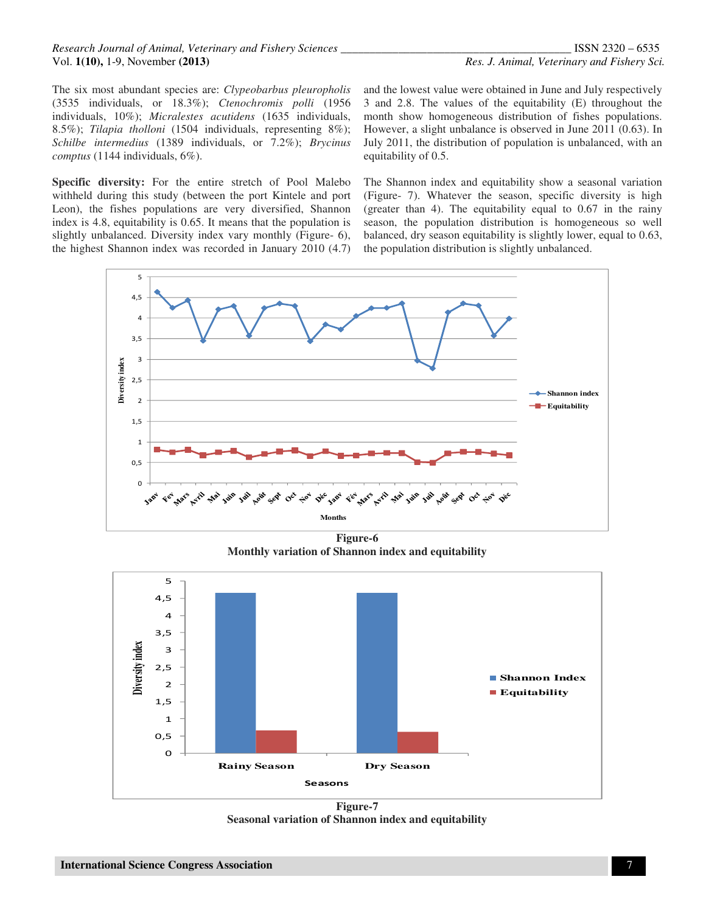#### *Research Journal of Animal, Veterinary and Fishery Sciences \_\_\_\_\_\_\_\_\_\_\_\_\_\_\_\_\_\_\_\_\_\_\_\_\_\_\_\_\_\_\_\_\_\_\_\_\_\_\_\_* ISSN 2320 – 6535 Vol. **1(10),** 1-9, November **(2013)** *Res. J. Animal, Veterinary and Fishery Sci.*

The six most abundant species are: *Clypeobarbus pleuropholis* (3535 individuals, or 18.3%); *Ctenochromis polli* (1956 individuals, 10%); *Micralestes acutidens* (1635 individuals, 8.5%); *Tilapia tholloni* (1504 individuals, representing 8%); *Schilbe intermedius* (1389 individuals, or 7.2%); *Brycinus comptus* (1144 individuals, 6%).

**Specific diversity:** For the entire stretch of Pool Malebo withheld during this study (between the port Kintele and port Leon), the fishes populations are very diversified, Shannon index is 4.8, equitability is 0.65. It means that the population is slightly unbalanced. Diversity index vary monthly (Figure- 6), the highest Shannon index was recorded in January 2010 (4.7)

and the lowest value were obtained in June and July respectively 3 and 2.8. The values of the equitability (E) throughout the month show homogeneous distribution of fishes populations. However, a slight unbalance is observed in June 2011 (0.63). In July 2011, the distribution of population is unbalanced, with an equitability of 0.5.

The Shannon index and equitability show a seasonal variation (Figure- 7). Whatever the season, specific diversity is high (greater than 4). The equitability equal to 0.67 in the rainy season, the population distribution is homogeneous so well balanced, dry season equitability is slightly lower, equal to 0.63, the population distribution is slightly unbalanced.



**Figure-6 Monthly variation of Shannon index and equitability**



**Figure-7 Seasonal variation of Shannon index and equitability**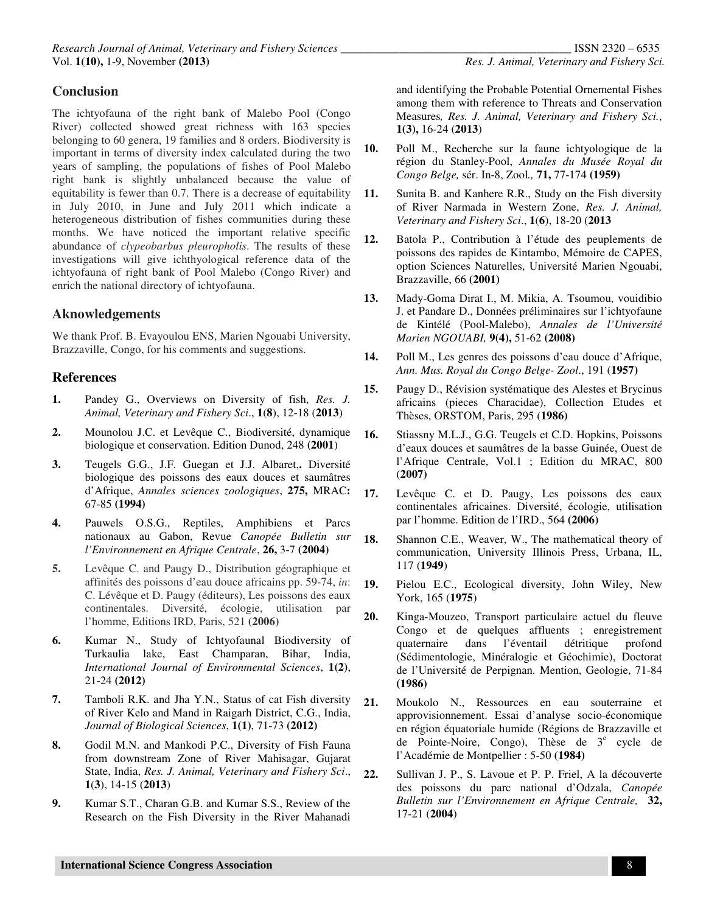## **Conclusion**

The ichtyofauna of the right bank of Malebo Pool (Congo River) collected showed great richness with 163 species belonging to 60 genera, 19 families and 8 orders. Biodiversity is important in terms of diversity index calculated during the two years of sampling, the populations of fishes of Pool Malebo right bank is slightly unbalanced because the value of equitability is fewer than 0.7. There is a decrease of equitability in July 2010, in June and July 2011 which indicate a heterogeneous distribution of fishes communities during these months. We have noticed the important relative specific abundance of *clypeobarbus pleuropholis*. The results of these investigations will give ichthyological reference data of the ichtyofauna of right bank of Pool Malebo (Congo River) and enrich the national directory of ichtyofauna.

## **Aknowledgements**

We thank Prof. B. Evayoulou ENS, Marien Ngouabi University, Brazzaville, Congo, for his comments and suggestions.

### **References**

- **1.** Pandey G., Overviews on Diversity of fish, *Res. J. Animal, Veterinary and Fishery Sci*., **1**(**8**), 12-18 (**2013**)
- **2.** Mounolou J.C. et Levêque C., Biodiversité, dynamique biologique et conservation. Edition Dunod, 248 **(2001**)
- **3.** Teugels G.G., J.F. Guegan et J.J. Albaret,**.** Diversité biologique des poissons des eaux douces et saumâtres d'Afrique, *Annales sciences zoologiques*, **275,** MRAC**:**  67-85 **(1994)**
- **4.** Pauwels O.S.G., Reptiles, Amphibiens et Parcs nationaux au Gabon, Revue *Canopée Bulletin sur l'Environnement en Afrique Centrale*, **26,** 3-7 **(2004)**
- **5.** Levêque C. and Paugy D., Distribution géographique et affinités des poissons d'eau douce africains pp. 59-74, *in*: C. Lévêque et D. Paugy (éditeurs), Les poissons des eaux continentales. Diversité, écologie, utilisation par l'homme, Editions IRD, Paris, 521 **(2006)**
- **6.** Kumar N., Study of Ichtyofaunal Biodiversity of Turkaulia lake, East Champaran, Bihar, India, *International Journal of Environmental Sciences*, **1(2)**, 21-24 **(2012)**
- **7.** Tamboli R.K. and Jha Y.N., Status of cat Fish diversity of River Kelo and Mand in Raigarh District, C.G., India, *Journal of Biological Sciences*, **1(1)**, 71-73 **(2012)**
- **8.** Godil M.N. and Mankodi P.C., Diversity of Fish Fauna from downstream Zone of River Mahisagar, Gujarat State, India, *Res. J. Animal, Veterinary and Fishery Sci*., **1**(**3**), 14-15 (**2013**)
- **9.** Kumar S.T., Charan G.B. and Kumar S.S., Review of the Research on the Fish Diversity in the River Mahanadi

and identifying the Probable Potential Ornemental Fishes among them with reference to Threats and Conservation Measures*, Res. J. Animal, Veterinary and Fishery Sci.*, **1(3),** 16-24 (**2013**)

- **10.** Poll M., Recherche sur la faune ichtyologique de la région du Stanley-Pool, *Annales du Musée Royal du Congo Belge,* sér. In-8, Zool*.,* **71,** 77-174 **(1959)**
- **11.** Sunita B. and Kanhere R.R., Study on the Fish diversity of River Narmada in Western Zone, *Res. J. Animal, Veterinary and Fishery Sci*., **1**(**6**), 18-20 (**2013**
- **12.** Batola P., Contribution à l'étude des peuplements de poissons des rapides de Kintambo, Mémoire de CAPES, option Sciences Naturelles, Université Marien Ngouabi, Brazzaville, 66 **(2001)**
- **13.** Mady-Goma Dirat I., M. Mikia, A. Tsoumou, vouidibio J. et Pandare D., Données préliminaires sur l'ichtyofaune de Kintélé (Pool-Malebo), *Annales de l'Université Marien NGOUABI,* **9(4),** 51-62 **(2008)**
- **14.** Poll M., Les genres des poissons d'eau douce d'Afrique, *Ann. Mus. Royal du Congo Belge- Zool*., 191 (**1957)**
- **15.** Paugy D., Révision systématique des Alestes et Brycinus africains (pieces Characidae), Collection Etudes et Thèses, ORSTOM, Paris, 295 (**1986)**
- **16.** Stiassny M.L.J., G.G. Teugels et C.D. Hopkins, Poissons d'eaux douces et saumâtres de la basse Guinée, Ouest de l'Afrique Centrale, Vol.1 ; Edition du MRAC, 800 (**2007)**
- **17.** Levêque C. et D. Paugy, Les poissons des eaux continentales africaines. Diversité, écologie, utilisation par l'homme. Edition de l'IRD., 564 **(2006)**
- **18.** Shannon C.E., Weaver, W., The mathematical theory of communication, University Illinois Press, Urbana, IL, 117 (**1949**)
- **19.** Pielou E.C., Ecological diversity, John Wiley, New York, 165 (**1975**)
- **20.** Kinga-Mouzeo, Transport particulaire actuel du fleuve Congo et de quelques affluents ; enregistrement quaternaire dans l'éventail détritique profond (Sédimentologie, Minéralogie et Géochimie), Doctorat de l'Université de Perpignan. Mention, Geologie, 71-84 **(1986)**
- **21.** Moukolo N., Ressources en eau souterraine et approvisionnement. Essai d'analyse socio-économique en région équatoriale humide (Régions de Brazzaville et de Pointe-Noire, Congo), Thèse de 3<sup>e</sup> cycle de l'Académie de Montpellier : 5-50 **(1984)**
- **22.** Sullivan J. P., S. Lavoue et P. P. Friel, A la découverte des poissons du parc national d'Odzala, *Canopée Bulletin sur l'Environnement en Afrique Centrale,* **32,**  17-21 (**2004**)